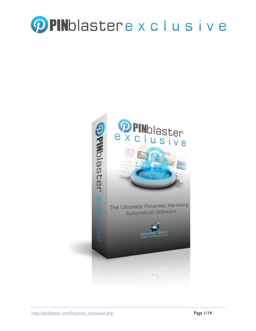

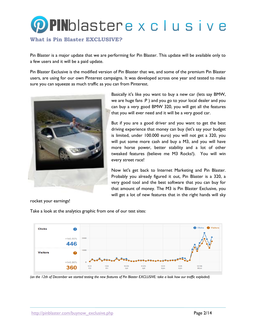## **PPIN**blastere x c l u s i v e

#### **What is Pin Blaster EXCLUSIVE?**

Pin Blaster is a major update that we are performing for Pin Blaster. This update will be available only to a few users and it will be a paid update.

Pin Blaster Exclusive is the modified version of Pin Blaster that we, and some of the premium Pin Blaster users, are using for our own Pinterest campaigns. It was developed across one year and tested to make sure you can squeeze as much traffic as you can from Pinterest.



Basically it's like you want to buy a new car (lets say BMW, we are huge fans :P ) and you go to your local dealer and you can buy a very good BMW 320, you will get all the features that you will ever need and it will be a very good car.

But if you are a good driver and you want to get the best driving experience that money can buy (let's say your budget is limited, under 100.000 euro) you will not get a 320, you will put some more cash and buy a M3, and you will have more horse power, better stability and a lot of other tweaked features (believe me M3 Rocks!). You will win every street race!

Now let's get back to Internet Marketing and Pin Blaster. Probably you already figured it out, Pin Blaster is a 320, a very good tool and the best software that you can buy for that amount of money. The M3 is Pin Blaster Exclusive, you will get a lot of new features that in the right hands will sky

rocket your earnings!

Take a look at the analytics graphic from one of our test sites:



*(on the 12th of December we started testing the new features of Pin Blaster EXCLUSIVE: take a look how our traffic exploded)*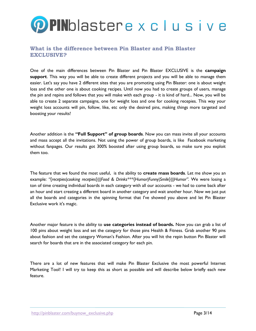# **OPIN**blastere x c l u s i v e

#### **What is the difference between Pin Blaster and Pin Blaster EXCLUSIVE?**

One of the main differences between Pin Blaster and Pin Blaster EXCLUSIVE is the **campaign support**. This way you will be able to create different projects and you will be able to manage them easier. Let's say you have 2 different sites that you are promoting using Pin Blaster: one is about weight loss and the other one is about cooking recipes. Until now you had to create groups of users, manage the pin and repins and follows that you will make with each group - it is kind of hard... Now, you will be able to create 2 separate campaigns, one for weight loss and one for cooking recepies. This way your weight loss accounts will pin, follow, like, etc only the desired pins, making things more targeted and boosting your results!

Another addition is the **"Full Support" of group boards**. Now you can mass invite all your accounts and mass accept all the invitations. Not using the power of group boards, is like Facebook marketing without fanpages. Our results got 300% boosted after using group boards, so make sure you exploit them too.

The feature that we found the most useful, is the ability to **create mass boards**. Let me show you an example: "{recepies|cooking recepies}|||Food & Drinks\*\*\*{Humor|Funny|Smile}|||Humor". We were losing a ton of time creating individual boards in each category with all our accounts - we had to come back after an hour and start creating a different board in another category and wait another hour. Now we just put all the boards and categories in the spinning format that I've showed you above and let Pin Blaster Exclusive work it's magic.

Another major feature is the ability to **use categories instead of boards.** Now you can grab a list of 100 pins about weight loss and set the category for those pins Health & Fitness. Grab another 90 pins about fashion and set the category Woman's Fashion. After you will hit the repin button Pin Blaster will search for boards that are in the associated category for each pin.

There are a lot of new features that will make Pin Blaster Exclusive the most powerful Internet Marketing Tool! I will try to keep this as short as possible and will describe below briefly each new feature.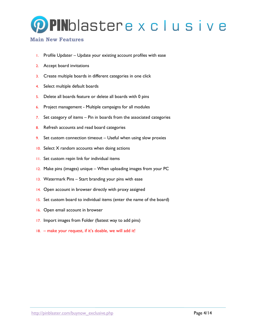

#### **Main New Features**

- 1. Profile Updater Update your existing account profiles with ease
- 2. Accept board invitations
- 3. Create multiple boards in different categories in one click
- 4. Select multiple default boards
- 5. Delete all boards feature or delete all boards with 0 pins
- 6. Project management Multiple campaigns for all modules
- 7. Set category of items Pin in boards from the associated categories
- 8. Refresh accounts and read board categories
- 9. Set custom connection timeout Useful when using slow proxies
- 10. Select X random accounts when doing actions
- 11. Set custom repin link for individual items
- 12. Make pins (images) unique When uploading images from your PC
- 13. Watermark Pins Start branding your pins with ease
- 14. Open account in browser directly with proxy assigned
- 15. Set custom board to individual items (enter the name of the board)
- 16. Open email account in browser
- 17. Import images from Folder (fastest way to add pins)
- 18. make your request, if it's doable, we will add it!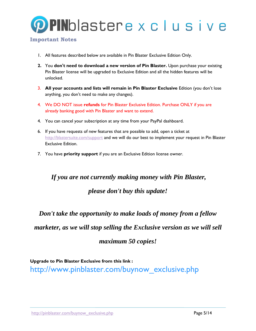

#### **Important Notes**

- 1. All features described below are available in Pin Blaster Exclusive Edition Only.
- **2.** You **don't need to download a new version of Pin Blaster.** Upon purchase your existing Pin Blaster license will be upgraded to Exclusive Edition and all the hidden features will be unlocked.
- 3. **All your accounts and lists will remain in Pin Blaster Exclusive** Edition (you don't lose anything, you don't need to make any changes).
- 4. We DO NOT issue **refunds** for Pin Blaster Exclusive Edition. Purchase ONLY if you are already banking good with Pin Blaster and want to extend.
- 4. You can cancel your subscription at any time from your PayPal dashboard.
- 6. If you have requests of new features that are possible to add, open a ticket at <http://blastersuite.com/support> and we will do our best to implement your request in Pin Blaster Exclusive Edition.
- 7. You have **priority support** if you are an Exclusive Edition license owner.

### *If you are not currently making money with Pin Blaster, please don't buy this update!*

*Don't take the opportunity to make loads of money from a fellow* 

*marketer, as we will stop selling the Exclusive version as we will sell* 

### *maximum 50 copies!*

**Upgrade to Pin Blaster Exclusive from this link :**  http://www.pinblaster.com/buynow\_exclusive.php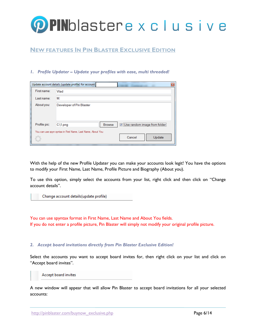

### **NEW FEATURES IN PIN BLASTER EXCLUSIVE EDITION**

#### *1. Profile Updater – Update your profiles with ease, multi threaded!*

|              | Update account details (update profile) for account         |                                |
|--------------|-------------------------------------------------------------|--------------------------------|
| First name:  | Vlad                                                        |                                |
| Last name:   | M                                                           |                                |
| About you:   | Developer of Pin Blaster                                    |                                |
| Profile pic: | <b>Browse</b><br>$C\setminus 1$ .png                        | V Use random image from folder |
|              | You can use spyn syntax in First Name, Last Name, About You | Cancel<br>Update               |

With the help of the new Profile Updater you can make your accounts look legit! You have the options to modify your First Name, Last Name, Profile Picture and Biography (About you).

To use this option, simply select the accounts from your list, right click and then click on "Change account details".

Change account details(update profile)

You can use spyntax format in First Name, Last Name and About You fields. If you do not enter a profile picture, Pin Blaster will simply not modify your original profile picture.

#### *2. Accept board invitations directly from Pin Blaster Exclusive Edition!*

Select the accounts you want to accept board invites for, then right click on your list and click on "Accept board invites".

Accept board invites

A new window will appear that will allow Pin Blaster to accept board invitations for all your selected accounts: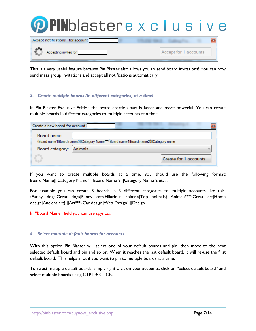

Accept for 1 accounts

This is a very useful feature because Pin Blaster also allows you to send board invitations! You can now send mass group invitations and accept all notifications automatically.

#### *3. Create multiple boards (in different categories) at a time!*

Accepting invites for

In Pin Blaster Exclusive Edition the board creation part is faster and more powerful. You can create multiple boards in different categories to multiple accounts at a time.

| Create a new board for account! |                                                                                     |
|---------------------------------|-------------------------------------------------------------------------------------|
| Board name:                     |                                                                                     |
|                                 | {Board name1 Board name2}  Category Name***{Board name1 Board name2}  Category name |
| Board category:                 | Animals                                                                             |
|                                 | Create for 1 accounts                                                               |

If you want to create multiple boards at a time, you should use the following format: Board Name|||Category Name\*\*\*Board Name 2|||Category Name 2 etc....

For example you can create 3 boards in 3 different categories to multiple accounts like this: {Funny dogs|Great dogs|Funny cats|Hilarious animals|Top animals}|||Animals\*\*\*{Great art|Home design|Ancient art}|||Art\*\*\*{Car design|Web Design}|||Design

In "Board Name" field you can use spyntax.

#### *4. Select multiple default boards for accounts*

With this option Pin Blaster will select one of your default boards and pin, then move to the next selected default board and pin and so on. When it reaches the last default board, it will re-use the first default board. This helps a lot if you want to pin to multiple boards at a time.

To select multiple default boards, simply right click on your accounts, click on "Select default board" and select multiple boards using CTRL + CLICK.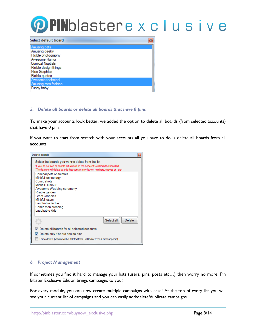# **PPIN**blastere x c l u s i v e

| Select default board                                                                                                                       |  |
|--------------------------------------------------------------------------------------------------------------------------------------------|--|
| Amusing pets<br>Amusing geeky<br>Risible photography<br>Awesome Humor<br><b>Comical Nuptials</b><br>Risible design things<br>Nice Graphics |  |
| Risible quotes<br>Awesome technical<br>Amusing men fashion<br>Funny baby                                                                   |  |

#### *5. Delete all boards or delete all boards that have 0 pins*

To make your accounts look better, we added the option to delete all boards (from selected accounts) that have 0 pins.

If you want to start from scratch with your accounts all you have to do is delete all boards from all accounts.



#### *6. Project Management*

If sometimes you find it hard to manage your lists (users, pins, posts etc…) then worry no more. Pin Blaster Exclusive Edition brings campaigns to you!

For every module, you can now create multiple campaigns with ease! At the top of every list you will see your current list of campaigns and you can easily add/delete/duplicate campaigns.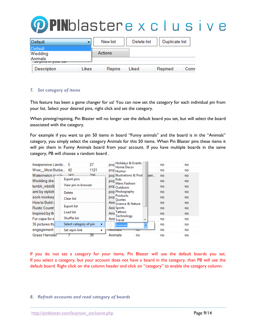

| Default                               |       | New list | Delete list | Duplicate list |      |
|---------------------------------------|-------|----------|-------------|----------------|------|
| Default<br>Wedding                    |       | Actions  |             |                |      |
| Animals<br><b>OU pind in your not</b> |       |          |             |                |      |
| <b>Description</b>                    | Likes | Repins   | Liked       | Repined        | Comr |

#### *7. Set category of items*

This feature has been a game changer for us! You can now set the category for each individual pin from your list. Select your desired pins, right click and set the category.

When pinning/repining, Pin Blaster will no longer use the default board you set, but will select the board associated with the category.

For example if you want to pin 50 items in board "Funny animals" and the board is in the "Animals" category, you simply select the category Animals for this 50 items. When Pin Blaster pins these items it will pin them in Funny Animals board from your account. If you have multiple boards in the same category, PB will choose a random board .

| Inexpensive Lands 5                         | 27                          | pop Holidays & Events<br>no<br>Home Decor        | no |
|---------------------------------------------|-----------------------------|--------------------------------------------------|----|
| Wow Most Burbe 42                           | 1121                        | no<br>pop <sub>Humor</sub>                       | no |
| Watermelon ip<br>- 162                      | 726.                        | pop Illustrations & Post<br><b>Jwn</b><br>no     | no |
| Export pins<br>Wedding dres                 |                             | pop <sup>Kids</sup><br>no<br><b>Mens Fashion</b> | no |
| tumblr mbb8t                                | View pin in browser         | no<br><b>POF</b> Outdoors                        | no |
| aml by stylish<br>Delete                    |                             | pop Photography<br>no                            | no |
| sock monkey<br>Clear list                   |                             | pop Products<br>no<br><b>Ouotes</b>              | no |
| How to Build a                              |                             | Anii Science & Nature<br>no                      | no |
| <b>Export list</b><br><b>Rustic Countri</b> |                             | <b>Anii Sports</b><br>no                         | no |
| <b>Load list</b><br>Inspired by the         |                             | Anii Tattoos<br>no<br>Technology                 | no |
| Shuffle list<br>Fur cape for w              |                             | Anii <sub>Travel</sub><br>no<br>÷                | no |
| 35 pictures that                            | Select category of pin<br>٠ | no<br>Animals                                    | no |
| engagement<br>Set repin link                | ▶                           | no<br>лишнаю<br>πU                               | no |
| Grass Hamster                               | 39                          | Animals<br>no<br>no                              | no |

If you do not set a category for your items, Pin Blaster will use the default boards you set. If you select a category, but your account does not have a board in the category, than PB will use the default board. Right click on the column header and click on "category" to enable the category column.

#### *8. Refresh accounts and read category of boards*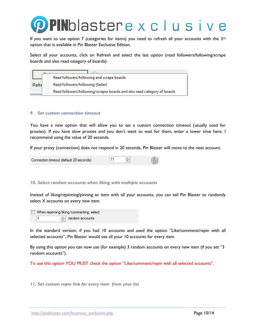

If you want to use option 7 (categories for items) you need to refresh all your accounts with the 3rd option that is available in Pin Blaster Exclusive Edition.

Select all your accounts, click on Refresh and select the last option (read followers/following/scrape boards and also read category of boards):

|       | Read followers/following and scrape boards                               |
|-------|--------------------------------------------------------------------------|
| Refre | Read followers/following (faster)                                        |
|       | Read followers/following/scrapre boards and also read category of boards |

#### *9. Set custom connection timeout*

You have a new option that will allow you to set a custom connection timeout (usually used for proxies). If you have slow proxies and you don't want to wait for them, enter a lower time here. I recommend using the value of 20 seconds.

If your proxy (connection) does not respond in 20 seconds, Pin Blaster will move to the next account.



#### *10. Select random accounts when liking with multiple accounts*

Instead of liking/repinning/pinning an item with all your accounts, you can tell Pin Blaster to randomly select X accounts on every new item.

When repinning/liking/commenting, select andom accounts

In the standard version, if you had 10 accounts and used the option "Like/comment/repin with all selected accounts", Pin Blaster would use all your 10 accounts for every item.

By using this option you can now use (for example) 3 random accounts on every new item (if you set "3 random accounts").

To use this option YOU MUST check the option "Like/comment/repin with all selected accounts".

*11. Set custom repin link for every item from your list*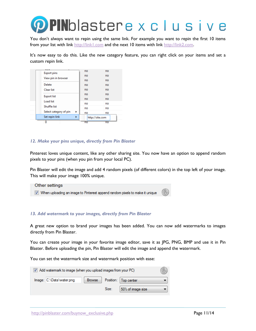

You don't always want to repin using the same link. For example you want to repin the first 10 items from your list with link [http://link1.com](http://link1.com/) and the next 10 items with link [http://link2.com.](http://link2.com/)

It's now easy to do this. Like the new category feature, you can right click on your items and set a custom repin link.

| <b>Export pins</b><br>View pin in browser     |   | no<br>no<br>no | no<br>no<br>no  |
|-----------------------------------------------|---|----------------|-----------------|
| Delete<br><b>Clear list</b>                   |   | no<br>no       | no<br>no        |
| <b>Export list</b><br><b>Load list</b>        |   | no<br>no       | no<br>no        |
| <b>Shuffle list</b><br>Select category of pin | ٠ | no<br>no<br>no | no<br>no<br>no  |
| Set repin link                                | ь |                | http://site.com |
| n                                             |   | no             | no              |

#### *12. Make your pins unique, directly from Pin Blaster*

Pinterest loves unique content, like any other sharing site. You now have an option to append random pixels to your pins (when you pin from your local PC).

Pin Blaster will edit the image and add 4 random pixels (of different colors) in the top left of your image. This will make your image 100% unique.



#### *13. Add watermark to your images, directly from Pin Blaster*

A great new option to brand your images has been added. You can now add watermarks to images directly from Pin Blaster.

You can create your image in your favorite image editor, save it as JPG, PNG, BMP and use it in Pin Blaster. Before uploading the pin, Pin Blaster will edit the image and append the watermark.

You can set the watermark size and watermark position with ease:

| Add watermark to image (when you upload images from your PC) |        |       |                        |  |
|--------------------------------------------------------------|--------|-------|------------------------|--|
| Image: C:\Data\water.png                                     | Browse |       | Position:   Top center |  |
|                                                              |        | Size: | 50% of image size      |  |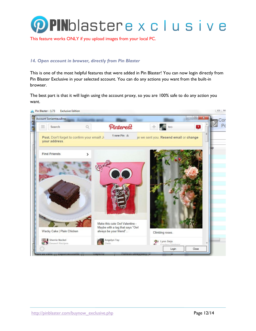

This feature works ONLY if you upload images from your local PC.

#### *14. Open account in browser, directly from Pin Blaster*

This is one of the most helpful features that were added in Pin Blaster! You can now login directly from Pin Blaster Exclusive in your selected account. You can do any actions you want from the built-in browser.

The best part is that it will login using the account proxy, so you are 100% safe to do any action you want.

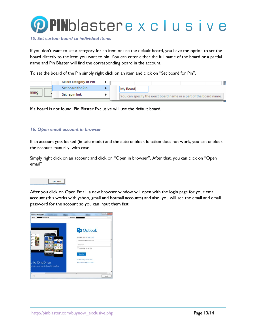

#### *15. Set custom board to individual items*

If you don't want to set a category for an item or use the default board, you have the option to set the board directly to the item you want to pin. You can enter either the full name of the board or a partial name and Pin Blaster will find the corresponding board in the account.

To set the board of the Pin simply right click on an item and click on "Set board for Pin".

|       | Select category of Pin |          |                                                                   |
|-------|------------------------|----------|-------------------------------------------------------------------|
|       | Set board for Pin      | My Board |                                                                   |
| ınıng | Set repin link         |          | You can specify the exact board name or a part of the board name. |

If a board is not found, Pin Blaster Exclusive will use the default board.

#### *16. Open email account in browser*

If an account gets locked (in safe mode) and the auto unblock function does not work, you can unblock the account manually, with ease.

Simply right click on an account and click on "Open in browser". After that, you can click on "Open email"



After you click on Open Email, a new browser window will open with the login page for your email account (this works with yahoo, gmail and hotmail accounts) and also, you will see the email and email password for the account so you can input them fast.